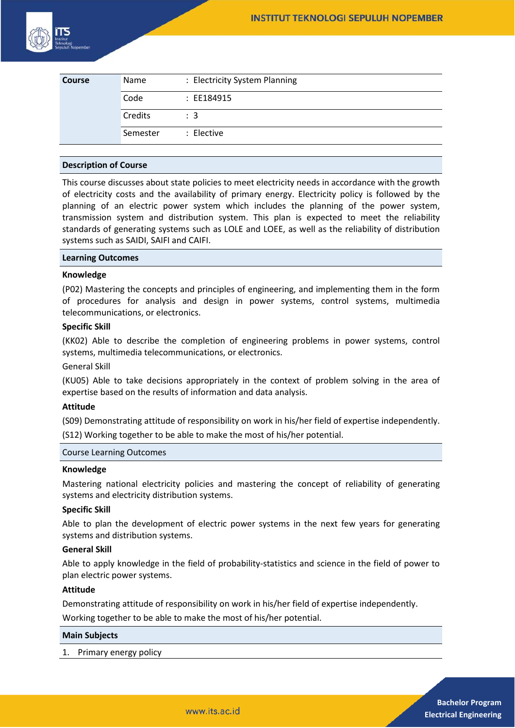

| <b>Course</b> | Name     | : Electricity System Planning |
|---------------|----------|-------------------------------|
|               | Code     | : EE184915                    |
|               | Credits  | $\therefore$ 3                |
|               | Semester | : Elective                    |

# **Description of Course**

This course discusses about state policies to meet electricity needs in accordance with the growth of electricity costs and the availability of primary energy. Electricity policy is followed by the planning of an electric power system which includes the planning of the power system, transmission system and distribution system. This plan is expected to meet the reliability standards of generating systems such as LOLE and LOEE, as well as the reliability of distribution systems such as SAIDI, SAIFI and CAIFI.

## **Learning Outcomes**

## **Knowledge**

(P02) Mastering the concepts and principles of engineering, and implementing them in the form of procedures for analysis and design in power systems, control systems, multimedia telecommunications, or electronics.

## **Specific Skill**

(KK02) Able to describe the completion of engineering problems in power systems, control systems, multimedia telecommunications, or electronics.

General Skill

(KU05) Able to take decisions appropriately in the context of problem solving in the area of expertise based on the results of information and data analysis.

#### **Attitude**

(S09) Demonstrating attitude of responsibility on work in his/her field of expertise independently.

(S12) Working together to be able to make the most of his/her potential.

# Course Learning Outcomes

#### **Knowledge**

Mastering national electricity policies and mastering the concept of reliability of generating systems and electricity distribution systems.

## **Specific Skill**

Able to plan the development of electric power systems in the next few years for generating systems and distribution systems.

## **General Skill**

Able to apply knowledge in the field of probability-statistics and science in the field of power to plan electric power systems.

# **Attitude**

Demonstrating attitude of responsibility on work in his/her field of expertise independently.

Working together to be able to make the most of his/her potential.

#### **Main Subjects**

1. Primary energy policy